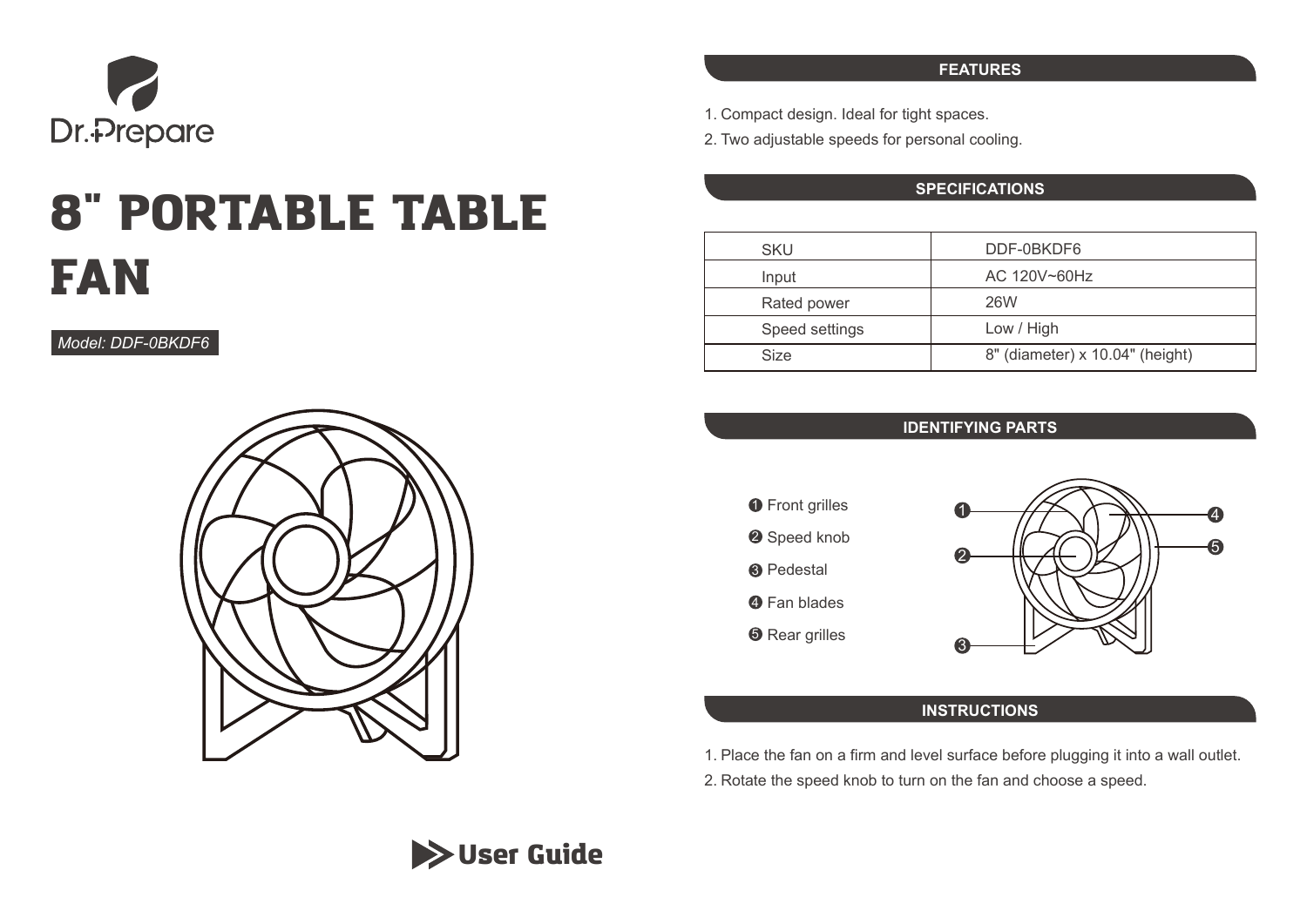

# 8" PORTABLE TABLE FAN

*Model: DDF-0BKDF6*



#### **FEATURES**

- 1. Compact design. Ideal for tight spaces.
- 2. Two adjustable speeds for personal cooling.

## **SPECIFICATIONS**

| <b>SKU</b>     | DDF-0BKDF6                      |
|----------------|---------------------------------|
| Input          | AC 120V~60Hz                    |
| Rated power    | 26W                             |
| Speed settings | Low / High                      |
| <b>Size</b>    | 8" (diameter) x 10.04" (height) |

## **IDENTIFYING PARTS**





# **INSTRUCTIONS**

1. Place the fan on a firm and level surface before plugging it into a wall outlet.

2. Rotate the speed knob to turn on the fan and choose a speed.